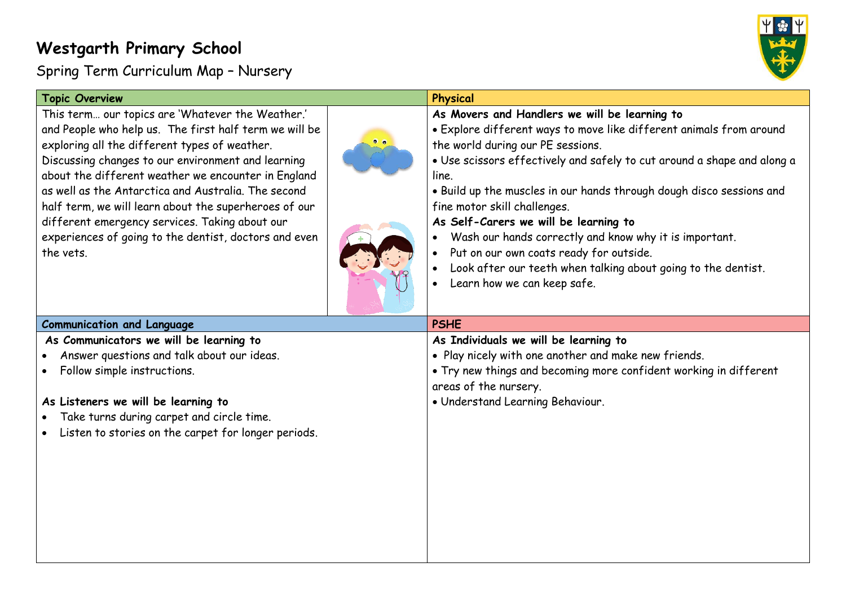## **Westgarth Primary School**

Spring Term Curriculum Map – Nursery



| <b>Topic Overview</b>                                                                                                                                                                                                                                                                                                                                                                                                                                                                                            | Physical                                                                                                                                                                                                                                                                                                                                                                                                                                                                                                                                                                                            |
|------------------------------------------------------------------------------------------------------------------------------------------------------------------------------------------------------------------------------------------------------------------------------------------------------------------------------------------------------------------------------------------------------------------------------------------------------------------------------------------------------------------|-----------------------------------------------------------------------------------------------------------------------------------------------------------------------------------------------------------------------------------------------------------------------------------------------------------------------------------------------------------------------------------------------------------------------------------------------------------------------------------------------------------------------------------------------------------------------------------------------------|
| This term our topics are 'Whatever the Weather.'<br>and People who help us. The first half term we will be<br>exploring all the different types of weather.<br>Discussing changes to our environment and learning<br>about the different weather we encounter in England<br>as well as the Antarctica and Australia. The second<br>half term, we will learn about the superheroes of our<br>different emergency services. Taking about our<br>experiences of going to the dentist, doctors and even<br>the vets. | As Movers and Handlers we will be learning to<br>· Explore different ways to move like different animals from around<br>the world during our PE sessions.<br>· Use scissors effectively and safely to cut around a shape and along a<br>line.<br>. Build up the muscles in our hands through dough disco sessions and<br>fine motor skill challenges.<br>As Self-Carers we will be learning to<br>Wash our hands correctly and know why it is important.<br>Put on our own coats ready for outside.<br>Look after our teeth when talking about going to the dentist.<br>Learn how we can keep safe. |
| <b>Communication and Language</b>                                                                                                                                                                                                                                                                                                                                                                                                                                                                                | <b>PSHE</b>                                                                                                                                                                                                                                                                                                                                                                                                                                                                                                                                                                                         |
| As Communicators we will be learning to<br>Answer questions and talk about our ideas.<br>Follow simple instructions.<br>$\bullet$<br>As Listeners we will be learning to<br>Take turns during carpet and circle time.<br>Listen to stories on the carpet for longer periods.                                                                                                                                                                                                                                     | As Individuals we will be learning to<br>. Play nicely with one another and make new friends.<br>• Try new things and becoming more confident working in different<br>areas of the nursery.<br>· Understand Learning Behaviour.                                                                                                                                                                                                                                                                                                                                                                     |